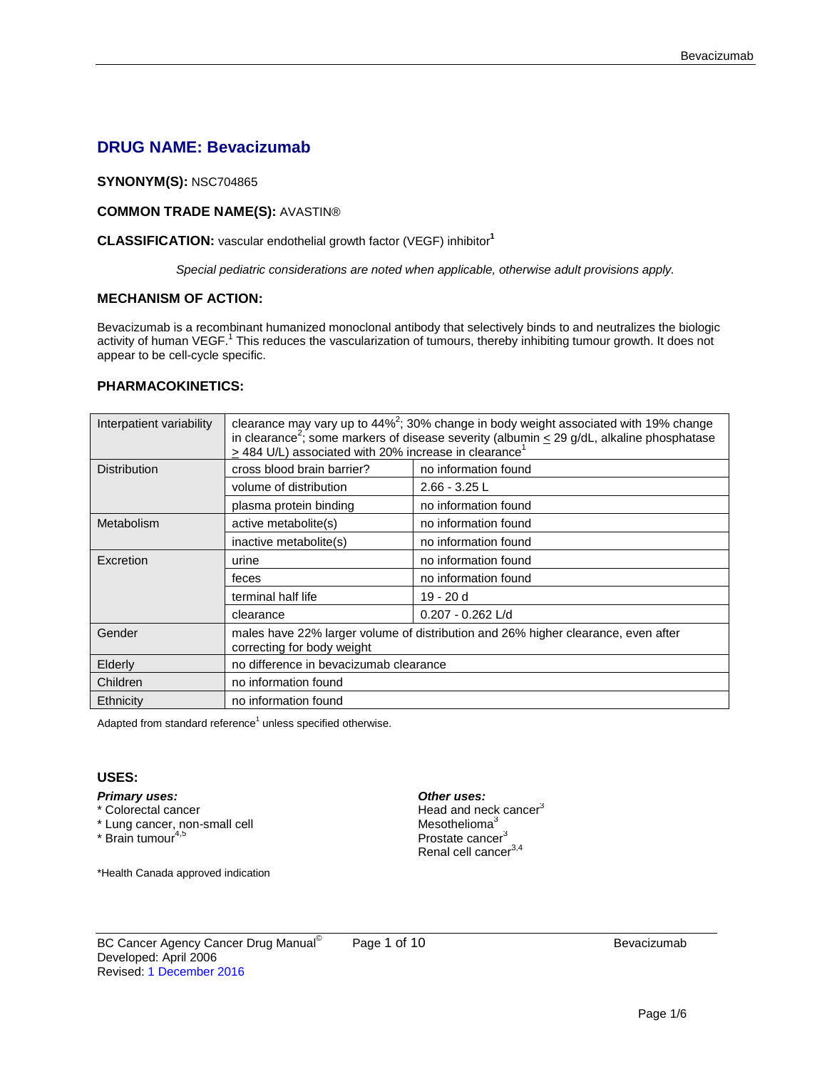# **DRUG NAME: Bevacizumab**

### **SYNONYM(S):** NSC704865

## **COMMON TRADE NAME(S):** AVASTIN®

## **CLASSIFICATION:** vascular endothelial growth factor (VEGF) inhibitor**<sup>1</sup>**

*Special pediatric considerations are noted when applicable, otherwise adult provisions apply.*

#### **MECHANISM OF ACTION:**

Bevacizumab is a recombinant humanized monoclonal antibody that selectively binds to and neutralizes the biologic activity of human VEGF.<sup>1</sup> This reduces the vascularization of tumours, thereby inhibiting tumour growth. It does not appear to be cell-cycle specific.

## **PHARMACOKINETICS:**

| Interpatient variability | clearance may vary up to $44\%^2$ ; 30% change in body weight associated with 19% change<br>in clearance <sup>2</sup> ; some markers of disease severity (albumin < 29 g/dL, alkaline phosphatase<br>$\geq$ 484 U/L) associated with 20% increase in clearance <sup>1</sup> |                      |  |
|--------------------------|-----------------------------------------------------------------------------------------------------------------------------------------------------------------------------------------------------------------------------------------------------------------------------|----------------------|--|
| <b>Distribution</b>      | cross blood brain barrier?<br>no information found                                                                                                                                                                                                                          |                      |  |
|                          | volume of distribution                                                                                                                                                                                                                                                      | $2.66 - 3.25$ L      |  |
|                          | plasma protein binding                                                                                                                                                                                                                                                      | no information found |  |
| Metabolism               | active metabolite(s)                                                                                                                                                                                                                                                        | no information found |  |
|                          | inactive metabolite(s)                                                                                                                                                                                                                                                      | no information found |  |
| Excretion                | urine                                                                                                                                                                                                                                                                       | no information found |  |
|                          | feces                                                                                                                                                                                                                                                                       | no information found |  |
|                          | terminal half life                                                                                                                                                                                                                                                          | $19 - 20d$           |  |
|                          | clearance                                                                                                                                                                                                                                                                   | $0.207 - 0.262$ L/d  |  |
| Gender                   | males have 22% larger volume of distribution and 26% higher clearance, even after<br>correcting for body weight                                                                                                                                                             |                      |  |
| Elderly                  | no difference in bevacizumab clearance                                                                                                                                                                                                                                      |                      |  |
| Children                 | no information found                                                                                                                                                                                                                                                        |                      |  |
| Ethnicity                | no information found                                                                                                                                                                                                                                                        |                      |  |

Adapted from standard reference $1$  unless specified otherwise.

#### **USES:**

- *Primary uses: Other uses:*
- $*$  Lung cancer, non-small cell<br> $*$  Brain tumour<sup>4,5</sup>
- 

\*Health Canada approved indication

Head and neck cancer<sup>3</sup><br>Mesothelioma<sup>3</sup>

Prostate cancer<sup>3</sup> Renal cell cancer<sup>3,4</sup>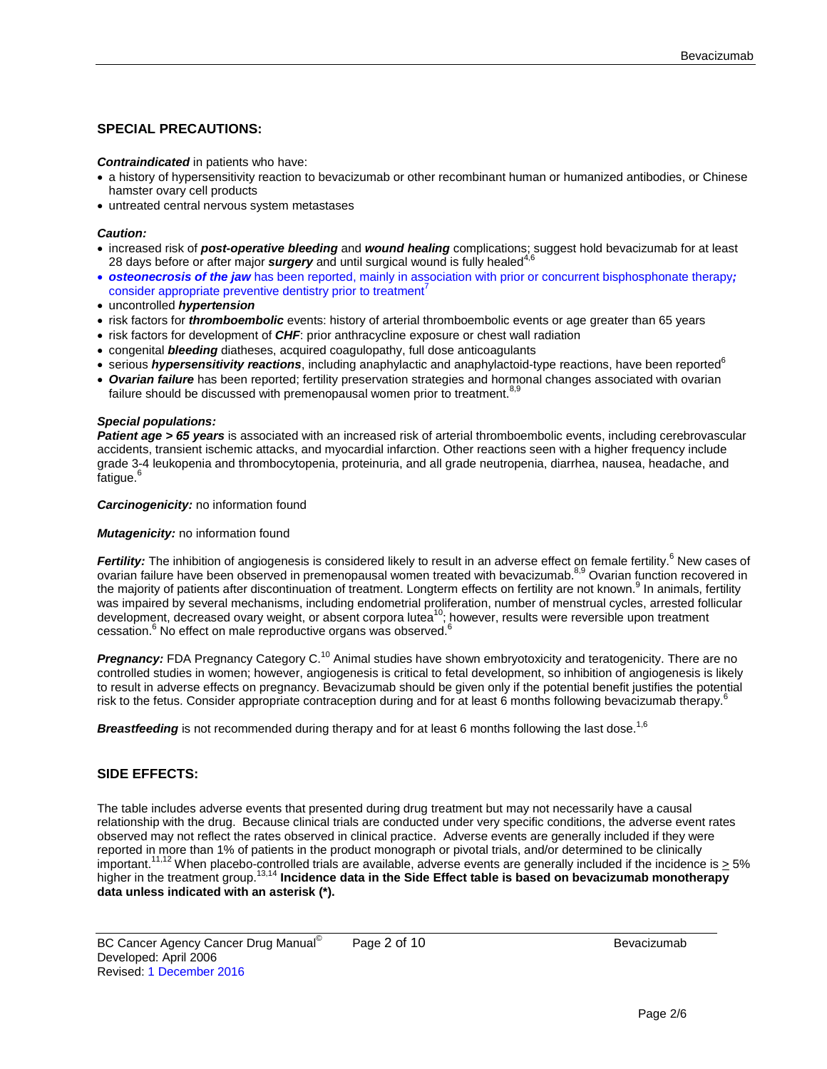## **SPECIAL PRECAUTIONS:**

#### *Contraindicated* in patients who have:

- a history of hypersensitivity reaction to bevacizumab or other recombinant human or humanized antibodies, or Chinese hamster ovary cell products
- untreated central nervous system metastases

#### *Caution:*

- increased risk of *post-operative bleeding* and *wound healing* complications; suggest hold bevacizumab for at least 28 days before or after major *surgery* and until surgical wound is fully healed<sup>4,6</sup>
- *osteonecrosis of the jaw* has been reported, mainly in association with prior or concurrent bisphosphonate therapy*;*  consider appropriate preventive dentistry prior to treatment<sup>7</sup>
- uncontrolled *hypertension*
- risk factors for *thromboembolic* events: history of arterial thromboembolic events or age greater than 65 years
- risk factors for development of *CHF*: prior anthracycline exposure or chest wall radiation
- congenital *bleeding* diatheses, acquired coagulopathy, full dose anticoagulants
- serious *hypersensitivity reactions*, including anaphylactic and anaphylactoid-type reactions, have been reported<sup>6</sup>
- *Ovarian failure* has been reported; fertility preservation strategies and hormonal changes associated with ovarian failure should be discussed with premenopausal women prior to treatment.<sup>8,9</sup>

#### *Special populations:*

**Patient age > 65 years** is associated with an increased risk of arterial thromboembolic events, including cerebrovascular accidents, transient ischemic attacks, and myocardial infarction. Other reactions seen with a higher frequency include grade 3-4 leukopenia and thrombocytopenia, proteinuria, and all grade neutropenia, diarrhea, nausea, headache, and fatigue.<sup>6</sup>

#### *Carcinogenicity:* no information found

#### **Mutagenicity:** no information found

Fertility: The inhibition of angiogenesis is considered likely to result in an adverse effect on female fertility.<sup>6</sup> New cases of ovarian failure have been observed in premenopausal women treated with bevacizumab.<sup>8,9</sup> Ovarian function recovered in the majority of patients after discontinuation of treatment. Longterm effects on fertility are not known.<sup>9</sup> In animals, fertility was impaired by several mechanisms, including endometrial proliferation, number of menstrual cycles, arrested follicular development, decreased ovary weight, or absent corpora lutea<sup>10</sup>; however, results were reversible upon treatment cessation.<sup>6</sup> No effect on male reproductive organs was observed.<sup>6</sup>

*Pregnancy:* FDA Pregnancy Category C.<sup>10</sup> Animal studies have shown embryotoxicity and teratogenicity. There are no controlled studies in women; however, angiogenesis is critical to fetal development, so inhibition of angiogenesis is likely to result in adverse effects on pregnancy. Bevacizumab should be given only if the potential benefit justifies the potential risk to the fetus. Consider appropriate contraception during and for at least 6 months following bevacizumab therapy.<sup>6</sup>

**Breastfeeding** is not recommended during therapy and for at least 6 months following the last dose.<sup>1,6</sup>

#### **SIDE EFFECTS:**

The table includes adverse events that presented during drug treatment but may not necessarily have a causal relationship with the drug. Because clinical trials are conducted under very specific conditions, the adverse event rates observed may not reflect the rates observed in clinical practice. Adverse events are generally included if they were reported in more than 1% of patients in the product monograph or pivotal trials, and/or determined to be clinically important.<sup>11,12</sup> When placebo-controlled trials are available, adverse events are generally included if the incidence is  $\geq$  5% higher in the treatment group.13,14 **Incidence data in the Side Effect table is based on bevacizumab monotherapy data unless indicated with an asterisk (\*).**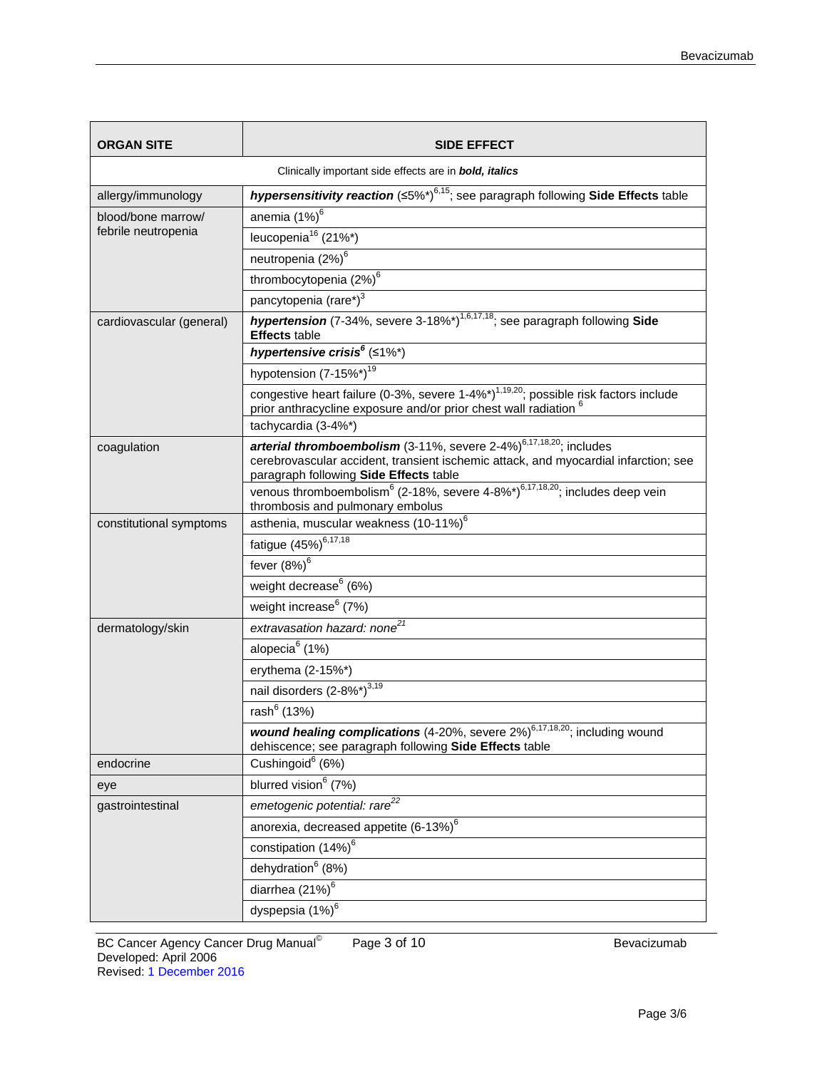| <b>ORGAN SITE</b>                                      | SIDE EFFECT                                                                                                                                                                                                         |  |  |
|--------------------------------------------------------|---------------------------------------------------------------------------------------------------------------------------------------------------------------------------------------------------------------------|--|--|
| Clinically important side effects are in bold, italics |                                                                                                                                                                                                                     |  |  |
| allergy/immunology                                     | hypersensitivity reaction (≤5%*) <sup>6,15</sup> ; see paragraph following Side Effects table                                                                                                                       |  |  |
| blood/bone marrow/                                     | anemia (1%) <sup>6</sup>                                                                                                                                                                                            |  |  |
| febrile neutropenia                                    | leucopenia <sup>16</sup> (21%*)                                                                                                                                                                                     |  |  |
|                                                        | neutropenia (2%) <sup>6</sup>                                                                                                                                                                                       |  |  |
|                                                        | thrombocytopenia (2%) <sup>6</sup>                                                                                                                                                                                  |  |  |
|                                                        | pancytopenia (rare*) <sup>3</sup>                                                                                                                                                                                   |  |  |
| cardiovascular (general)                               | <b>hypertension</b> (7-34%, severe 3-18%*) <sup>1,6,17,18</sup> ; see paragraph following Side<br><b>Effects</b> table                                                                                              |  |  |
|                                                        | hypertensive crisis <sup>6</sup> (≤1%*)                                                                                                                                                                             |  |  |
|                                                        | hypotension (7-15%*) <sup>19</sup>                                                                                                                                                                                  |  |  |
|                                                        | congestive heart failure (0-3%, severe 1-4%*) <sup>1,19,20</sup> ; possible risk factors include<br>prior anthracycline exposure and/or prior chest wall radiation <sup>t</sup>                                     |  |  |
|                                                        | tachycardia (3-4%*)                                                                                                                                                                                                 |  |  |
| coagulation                                            | arterial thromboembolism (3-11%, severe $2-4\%$ ) <sup>6,17,18,20</sup> ; includes<br>cerebrovascular accident, transient ischemic attack, and myocardial infarction; see<br>paragraph following Side Effects table |  |  |
|                                                        | venous thromboembolism <sup>6</sup> (2-18%, severe 4-8%*) <sup>6,17,18,20</sup> ; includes deep vein<br>thrombosis and pulmonary embolus                                                                            |  |  |
| constitutional symptoms                                | asthenia, muscular weakness (10-11%) <sup>6</sup>                                                                                                                                                                   |  |  |
|                                                        | fatigue (45%) <sup>6,17,18</sup>                                                                                                                                                                                    |  |  |
|                                                        | fever $(8\%)^6$                                                                                                                                                                                                     |  |  |
|                                                        | weight decrease <sup>6</sup> (6%)                                                                                                                                                                                   |  |  |
|                                                        | weight increase <sup>6</sup> (7%)                                                                                                                                                                                   |  |  |
| dermatology/skin                                       | extravasation hazard: none <sup>21</sup>                                                                                                                                                                            |  |  |
|                                                        | alopecia <sup>6</sup> (1%)                                                                                                                                                                                          |  |  |
|                                                        | erythema (2-15%*)                                                                                                                                                                                                   |  |  |
|                                                        | nail disorders (2-8%*) <sup>3,19</sup>                                                                                                                                                                              |  |  |
|                                                        | rash <sup>6</sup> (13%)                                                                                                                                                                                             |  |  |
|                                                        | wound healing complications (4-20%, severe 2%) <sup>6,17,18,20</sup> ; including wound<br>dehiscence; see paragraph following Side Effects table                                                                    |  |  |
| endocrine                                              | Cushingoid <sup>6</sup> (6%)                                                                                                                                                                                        |  |  |
| eye                                                    | blurred vision <sup>6</sup> (7%)                                                                                                                                                                                    |  |  |
| gastrointestinal                                       | emetogenic potential: rare <sup>22</sup>                                                                                                                                                                            |  |  |
|                                                        | anorexia, decreased appetite (6-13%) <sup>6</sup>                                                                                                                                                                   |  |  |
|                                                        | constipation (14%) <sup>6</sup>                                                                                                                                                                                     |  |  |
|                                                        | dehydration <sup>6</sup> (8%)                                                                                                                                                                                       |  |  |
|                                                        | diarrhea (21%) <sup>6</sup>                                                                                                                                                                                         |  |  |
|                                                        | dyspepsia (1%) <sup>6</sup>                                                                                                                                                                                         |  |  |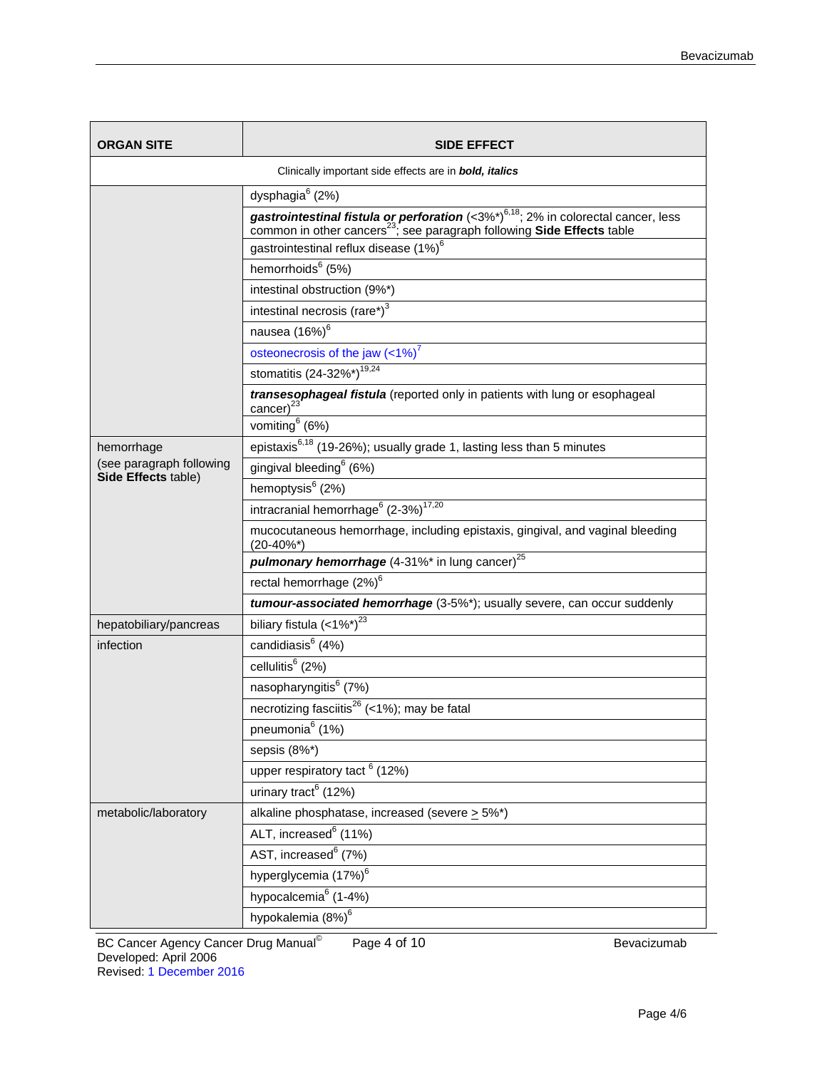| <b>ORGAN SITE</b>                                             | SIDE EFFECT                                                                                                                                                                          |  |  |
|---------------------------------------------------------------|--------------------------------------------------------------------------------------------------------------------------------------------------------------------------------------|--|--|
| Clinically important side effects are in <b>bold, italics</b> |                                                                                                                                                                                      |  |  |
|                                                               | dysphagia <sup>6</sup> (2%)                                                                                                                                                          |  |  |
|                                                               | gastrointestinal fistula or perforation (<3%*) <sup>6,18</sup> ; 2% in colorectal cancer, less<br>common in other cancers <sup>23</sup> ; see paragraph following Side Effects table |  |  |
|                                                               | gastrointestinal reflux disease (1%) <sup>6</sup>                                                                                                                                    |  |  |
|                                                               | hemorrhoids <sup>6</sup> (5%)                                                                                                                                                        |  |  |
|                                                               | intestinal obstruction (9%*)                                                                                                                                                         |  |  |
|                                                               | intestinal necrosis (rare*) $3$                                                                                                                                                      |  |  |
|                                                               | nausea (16%) <sup>6</sup>                                                                                                                                                            |  |  |
|                                                               | osteonecrosis of the jaw $(<1%)^7$                                                                                                                                                   |  |  |
|                                                               | stomatitis (24-32%*) <sup>19,24</sup>                                                                                                                                                |  |  |
|                                                               | transesophageal fistula (reported only in patients with lung or esophageal<br>cancer) $^{23}$                                                                                        |  |  |
|                                                               | vomiting <sup>6</sup> (6%)                                                                                                                                                           |  |  |
| hemorrhage                                                    | epistaxis <sup>6,18</sup> (19-26%); usually grade 1, lasting less than 5 minutes                                                                                                     |  |  |
| (see paragraph following<br>Side Effects table)               | gingival bleeding <sup>6</sup> (6%)                                                                                                                                                  |  |  |
|                                                               | hemoptysis <sup>6</sup> (2%)                                                                                                                                                         |  |  |
|                                                               | intracranial hemorrhage <sup>6</sup> $(2-3%)^{17,20}$                                                                                                                                |  |  |
|                                                               | mucocutaneous hemorrhage, including epistaxis, gingival, and vaginal bleeding<br>$(20-40\%^*)$                                                                                       |  |  |
|                                                               | pulmonary hemorrhage (4-31%* in lung cancer) <sup>25</sup>                                                                                                                           |  |  |
|                                                               | rectal hemorrhage (2%) <sup>6</sup>                                                                                                                                                  |  |  |
|                                                               | tumour-associated hemorrhage (3-5%*); usually severe, can occur suddenly                                                                                                             |  |  |
| hepatobiliary/pancreas                                        | biliary fistula $(<1\%^*)^{23}$                                                                                                                                                      |  |  |
| infection                                                     | candidiasis <sup>6</sup> (4%)                                                                                                                                                        |  |  |
|                                                               | cellulitis <sup>6</sup> (2%)                                                                                                                                                         |  |  |
|                                                               | nasopharyngitis <sup>6</sup> (7%)                                                                                                                                                    |  |  |
|                                                               | necrotizing fasciitis <sup>26</sup> (<1%); may be fatal                                                                                                                              |  |  |
|                                                               | pneumonia <sup>6</sup> (1%)                                                                                                                                                          |  |  |
|                                                               | sepsis (8%*)                                                                                                                                                                         |  |  |
|                                                               | upper respiratory tact <sup>6</sup> (12%)                                                                                                                                            |  |  |
|                                                               | urinary tract <sup>6</sup> (12%)                                                                                                                                                     |  |  |
| metabolic/laboratory                                          | alkaline phosphatase, increased (severe $\geq 5\%$ *)                                                                                                                                |  |  |
|                                                               | ALT, increased <sup>6</sup> (11%)                                                                                                                                                    |  |  |
|                                                               | AST, increased <sup>6</sup> (7%)                                                                                                                                                     |  |  |
|                                                               | hyperglycemia (17%) <sup>6</sup>                                                                                                                                                     |  |  |
|                                                               | hypocalcemia <sup>6</sup> (1-4%)                                                                                                                                                     |  |  |
|                                                               | hypokalemia (8%) <sup>6</sup>                                                                                                                                                        |  |  |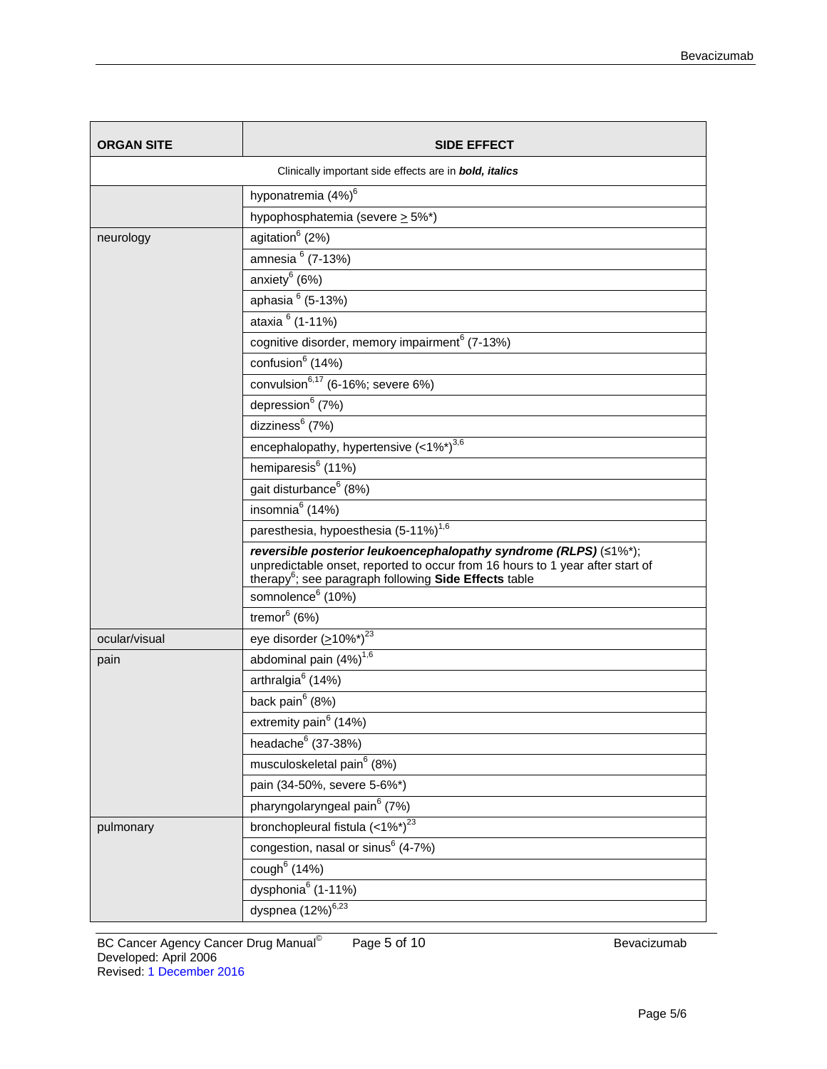| <b>ORGAN SITE</b>                                      | <b>SIDE EFFECT</b>                                                                                                                                                                                                     |  |
|--------------------------------------------------------|------------------------------------------------------------------------------------------------------------------------------------------------------------------------------------------------------------------------|--|
| Clinically important side effects are in bold, italics |                                                                                                                                                                                                                        |  |
|                                                        | hyponatremia (4%) <sup>6</sup>                                                                                                                                                                                         |  |
|                                                        | hypophosphatemia (severe $\geq$ 5%*)                                                                                                                                                                                   |  |
| neurology                                              | agitation <sup>6</sup> (2%)                                                                                                                                                                                            |  |
|                                                        | amnesia $6(7-13%)$                                                                                                                                                                                                     |  |
|                                                        | anxiety $6(6%)$                                                                                                                                                                                                        |  |
|                                                        | aphasia 6 (5-13%)                                                                                                                                                                                                      |  |
|                                                        | ataxia <sup>6</sup> (1-11%)                                                                                                                                                                                            |  |
|                                                        | cognitive disorder, memory impairment <sup>6</sup> (7-13%)                                                                                                                                                             |  |
|                                                        | confusion <sup>6</sup> (14%)                                                                                                                                                                                           |  |
|                                                        | convulsion $^{6,17}$ (6-16%; severe 6%)                                                                                                                                                                                |  |
|                                                        | depression $(7%)$                                                                                                                                                                                                      |  |
|                                                        | dizziness <sup>6</sup> (7%)                                                                                                                                                                                            |  |
|                                                        | encephalopathy, hypertensive $(<1\%^*)^{\overline{3,6}}$                                                                                                                                                               |  |
|                                                        | hemiparesis <sup>6</sup> (11%)                                                                                                                                                                                         |  |
|                                                        | gait disturbance <sup>6</sup> (8%)                                                                                                                                                                                     |  |
|                                                        | insomnia $6(14%)$                                                                                                                                                                                                      |  |
|                                                        | paresthesia, hypoesthesia (5-11%) <sup>1,6</sup>                                                                                                                                                                       |  |
|                                                        | reversible posterior leukoencephalopathy syndrome (RLPS) (≤1%*);<br>unpredictable onset, reported to occur from 16 hours to 1 year after start of<br>therapy <sup>6</sup> ; see paragraph following Side Effects table |  |
|                                                        | somnolence <sup>6</sup> (10%)                                                                                                                                                                                          |  |
|                                                        | $\overline{\text{tremor}}^6$ (6%)                                                                                                                                                                                      |  |
| ocular/visual                                          | eye disorder $( \ge 10\%^*)^{23}$                                                                                                                                                                                      |  |
| pain                                                   | abdominal pain (4%) <sup>1,6</sup>                                                                                                                                                                                     |  |
|                                                        | arthralgia <sup>6</sup> (14%)                                                                                                                                                                                          |  |
|                                                        | back pain <sup>6</sup> (8%)                                                                                                                                                                                            |  |
|                                                        | extremity pain <sup>6</sup> (14%)                                                                                                                                                                                      |  |
|                                                        | headache <sup>6</sup> (37-38%)                                                                                                                                                                                         |  |
|                                                        | musculoskeletal pain <sup>6</sup> (8%)                                                                                                                                                                                 |  |
|                                                        | pain (34-50%, severe 5-6%*)                                                                                                                                                                                            |  |
|                                                        | pharyngolaryngeal pain <sup>6</sup> (7%)                                                                                                                                                                               |  |
| pulmonary                                              | bronchopleural fistula (<1%*) <sup>23</sup>                                                                                                                                                                            |  |
|                                                        | congestion, nasal or sinus <sup>6</sup> (4-7%)                                                                                                                                                                         |  |
|                                                        | cough $(14%)$                                                                                                                                                                                                          |  |
|                                                        | dysphonia <sup>6</sup> (1-11%)                                                                                                                                                                                         |  |
|                                                        | dyspnea $(12\%)^{6,23}$                                                                                                                                                                                                |  |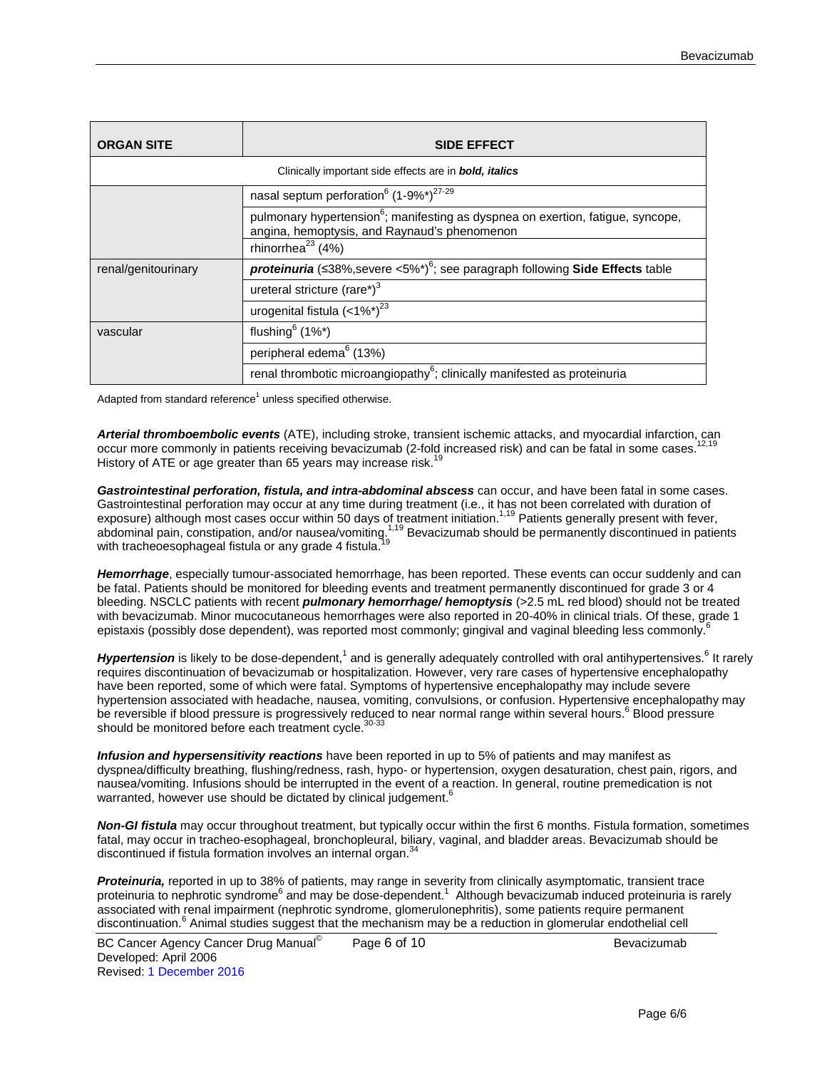| <b>ORGAN SITE</b>                                                                                                              | <b>SIDE EFFECT</b>                                                                                                                          |  |
|--------------------------------------------------------------------------------------------------------------------------------|---------------------------------------------------------------------------------------------------------------------------------------------|--|
| Clinically important side effects are in <b>bold, italics</b>                                                                  |                                                                                                                                             |  |
|                                                                                                                                | nasal septum perforation <sup>6</sup> (1-9%*) <sup>27-29</sup>                                                                              |  |
|                                                                                                                                | pulmonary hypertension <sup>6</sup> ; manifesting as dyspnea on exertion, fatigue, syncope,<br>angina, hemoptysis, and Raynaud's phenomenon |  |
|                                                                                                                                | rhinorrhea $^{23}$ (4%)                                                                                                                     |  |
| <b>proteinuria</b> (≤38%, severe <5%*) <sup>6</sup> ; see paragraph following <b>Side Effects</b> table<br>renal/genitourinary |                                                                                                                                             |  |
|                                                                                                                                | ureteral stricture (rare*) <sup>3</sup>                                                                                                     |  |
|                                                                                                                                | urogenital fistula $(<1\%^*)^{23}$                                                                                                          |  |
| vascular                                                                                                                       | flushing $6(1\%^*)$                                                                                                                         |  |
|                                                                                                                                | peripheral edema <sup>6</sup> (13%)                                                                                                         |  |
|                                                                                                                                | renal thrombotic microangiopathy $6$ ; clinically manifested as proteinuria                                                                 |  |

Adapted from standard reference $<sup>1</sup>$  unless specified otherwise.</sup>

*Arterial thromboembolic events* (ATE), including stroke, transient ischemic attacks, and myocardial infarction, can occur more commonly in patients receiving bevacizumab (2-fold increased risk) and can be fatal in some cases. History of ATE or age greater than 65 years may increase risk.<sup>19</sup>

*Gastrointestinal perforation, fistula, and intra-abdominal abscess* can occur, and have been fatal in some cases. Gastrointestinal perforation may occur at any time during treatment (i.e., it has not been correlated with duration of exposure) although most cases occur within 50 days of treatment initiation.<sup>1,19</sup> Patients generally present with fever, abdominal pain, constipation, and/or nausea/vomiting.<sup>1,19</sup> Bevacizumab should be permanently discontinued in patients with tracheoesophageal fistula or any grade 4 fistula.<sup>19</sup>

*Hemorrhage*, especially tumour-associated hemorrhage, has been reported. These events can occur suddenly and can be fatal. Patients should be monitored for bleeding events and treatment permanently discontinued for grade 3 or 4 bleeding. NSCLC patients with recent *pulmonary hemorrhage/ hemoptysis* (>2.5 mL red blood) should not be treated with bevacizumab. Minor mucocutaneous hemorrhages were also reported in 20-40% in clinical trials. Of these, grade 1 epistaxis (possibly dose dependent), was reported most commonly; gingival and vaginal bleeding less commonly.<sup>6</sup>

*Hypertension* is likely to be dose-dependent,<sup>1</sup> and is generally adequately controlled with oral antihypertensives.<sup>6</sup> It rarely requires discontinuation of bevacizumab or hospitalization. However, very rare cases of hypertensive encephalopathy have been reported, some of which were fatal. Symptoms of hypertensive encephalopathy may include severe hypertension associated with headache, nausea, vomiting, convulsions, or confusion. Hypertensive encephalopathy may be reversible if blood pressure is progressively reduced to near normal range within several hours.<sup>6</sup> Blood pressure should be monitored before each treatment cycle.<sup>3</sup>

*Infusion and hypersensitivity reactions* have been reported in up to 5% of patients and may manifest as dyspnea/difficulty breathing, flushing/redness, rash, hypo- or hypertension, oxygen desaturation, chest pain, rigors, and nausea/vomiting. Infusions should be interrupted in the event of a reaction. In general, routine premedication is not warranted, however use should be dictated by clinical judgement.

*Non-GI fistula* may occur throughout treatment, but typically occur within the first 6 months. Fistula formation, sometimes fatal, may occur in tracheo-esophageal, bronchopleural, biliary, vaginal, and bladder areas. Bevacizumab should be discontinued if fistula formation involves an internal organ.<sup>3</sup>

*Proteinuria,* reported in up to 38% of patients, may range in severity from clinically asymptomatic, transient trace proteinuria to nephrotic syndrome<sup>6</sup> and may be dose-dependent.<sup>1</sup> Although bevacizumab induced proteinuria is rarely associated with renal impairment (nephrotic syndrome, glomerulonephritis), some patients require permanent discontinuation.<sup>6</sup> Animal studies suggest that the mechanism may be a reduction in glomerular endothelial cell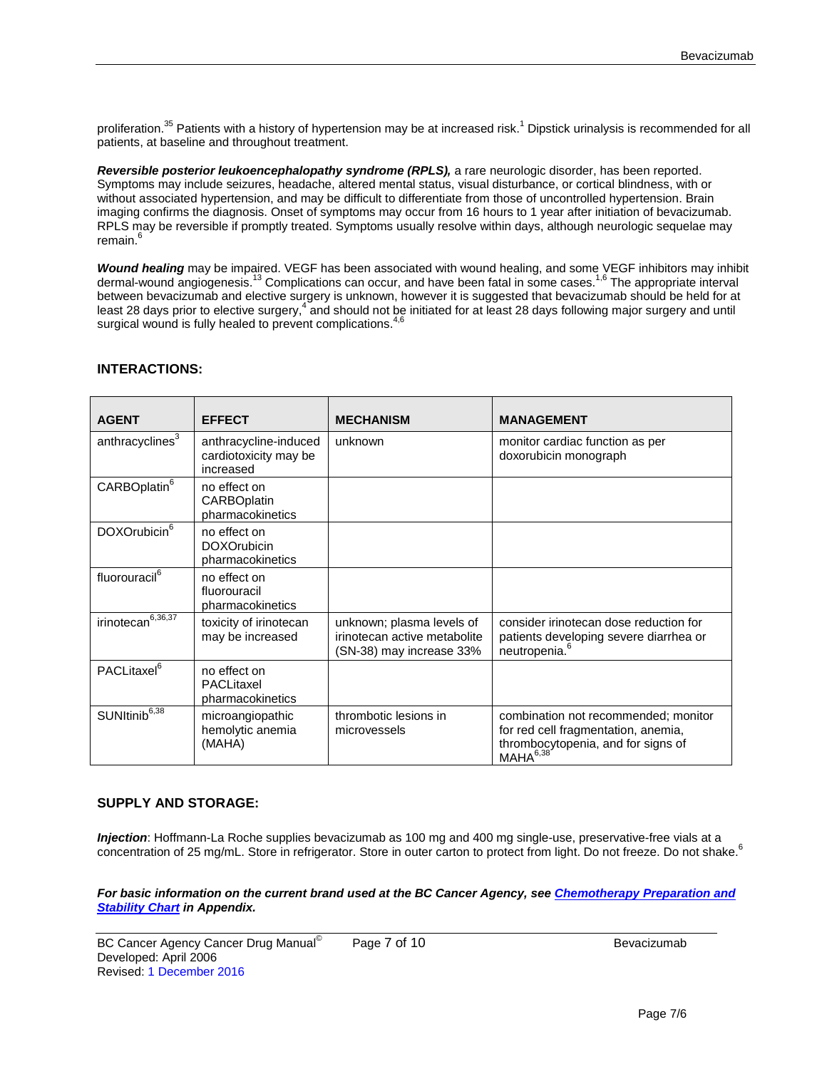proliferation.<sup>35</sup> Patients with a history of hypertension may be at increased risk.<sup>1</sup> Dipstick urinalysis is recommended for all patients, at baseline and throughout treatment.

Reversible posterior leukoencephalopathy syndrome (RPLS), a rare neurologic disorder, has been reported. Symptoms may include seizures, headache, altered mental status, visual disturbance, or cortical blindness, with or without associated hypertension, and may be difficult to differentiate from those of uncontrolled hypertension. Brain imaging confirms the diagnosis. Onset of symptoms may occur from 16 hours to 1 year after initiation of bevacizumab. RPLS may be reversible if promptly treated. Symptoms usually resolve within days, although neurologic sequelae may remain.<sup>6</sup>

*Wound healing* may be impaired. VEGF has been associated with wound healing, and some VEGF inhibitors may inhibit dermal-wound angiogenesis.<sup>13</sup> Complications can occur, and have been fatal in some cases.<sup>1,6</sup> The appropriate interval between bevacizumab and elective surgery is unknown, however it is suggested that bevacizumab should be held for at least 28 days prior to elective surgery,<sup>4</sup> and should not be initiated for at least 28 days following major surgery and until surgical wound is fully healed to prevent complications.

| <b>AGENT</b>                | <b>EFFECT</b>                                               | <b>MECHANISM</b>                                                                      | <b>MANAGEMENT</b>                                                                                                                         |
|-----------------------------|-------------------------------------------------------------|---------------------------------------------------------------------------------------|-------------------------------------------------------------------------------------------------------------------------------------------|
| anthracyclines <sup>3</sup> | anthracycline-induced<br>cardiotoxicity may be<br>increased | unknown                                                                               | monitor cardiac function as per<br>doxorubicin monograph                                                                                  |
| CARBOplatin <sup>6</sup>    | no effect on<br>CARBOplatin<br>pharmacokinetics             |                                                                                       |                                                                                                                                           |
| DOXOrubicin <sup>6</sup>    | no effect on<br><b>DOXOrubicin</b><br>pharmacokinetics      |                                                                                       |                                                                                                                                           |
| fluorouracil <sup>6</sup>   | no effect on<br>fluorouracil<br>pharmacokinetics            |                                                                                       |                                                                                                                                           |
| irinotecan $\sqrt{6,36,37}$ | toxicity of irinotecan<br>may be increased                  | unknown; plasma levels of<br>irinotecan active metabolite<br>(SN-38) may increase 33% | consider irinotecan dose reduction for<br>patients developing severe diarrhea or<br>neutropenia. <sup>6</sup>                             |
| PACLitaxel <sup>6</sup>     | no effect on<br>PACLitaxel<br>pharmacokinetics              |                                                                                       |                                                                                                                                           |
| SUNItinib <sup>6,38</sup>   | microangiopathic<br>hemolytic anemia<br>(MAHA)              | thrombotic lesions in<br>microvessels                                                 | combination not recommended; monitor<br>for red cell fragmentation, anemia,<br>thrombocytopenia, and for signs of<br>MAHA <sup>6,38</sup> |

## **INTERACTIONS:**

## **SUPPLY AND STORAGE:**

*Injection*: Hoffmann-La Roche supplies bevacizumab as 100 mg and 400 mg single-use, preservative-free vials at a concentration of 25 mg/mL. Store in refrigerator. Store in outer carton to protect from light. Do not freeze. Do not shake.<sup>6</sup>

*For basic information on the current brand used at the BC Cancer Agency, se[e Chemotherapy Preparation and](http://www.bccancer.bc.ca/HPI/DrugDatabase/Appendices/default.htm%23chemochart)  [Stability Chart](http://www.bccancer.bc.ca/HPI/DrugDatabase/Appendices/default.htm%23chemochart) in Appendix.*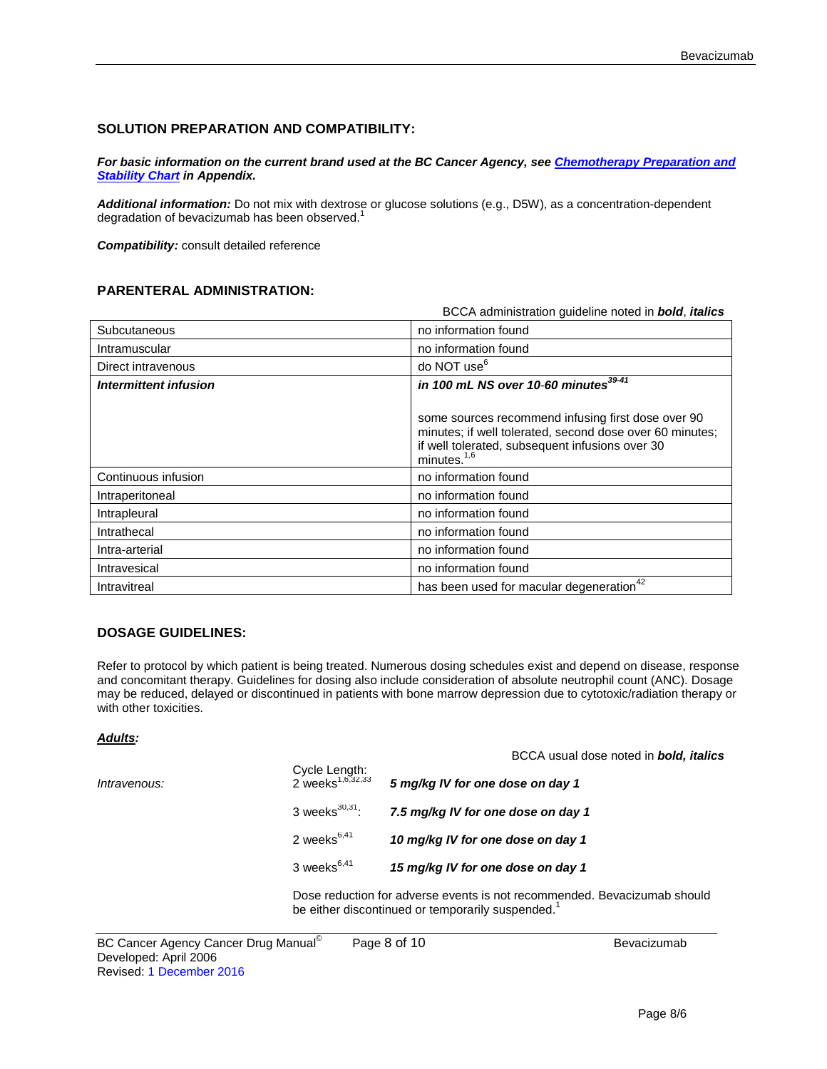## **SOLUTION PREPARATION AND COMPATIBILITY:**

*For basic information on the current brand used at the BC Cancer Agency, se[e Chemotherapy Preparation and](http://www.bccancer.bc.ca/HPI/DrugDatabase/Appendices/default.htm%23chemochart)  [Stability Chart](http://www.bccancer.bc.ca/HPI/DrugDatabase/Appendices/default.htm%23chemochart) in Appendix.*

*Additional information:* Do not mix with dextrose or glucose solutions (e.g., D5W), as a concentration-dependent degradation of bevacizumab has been observed.<sup>1</sup>

*Compatibility:* consult detailed reference

## **PARENTERAL ADMINISTRATION:**

|                       | BCCA administration guideline noted in <b>bold</b> , <i>italics</i>                                                                                                                 |
|-----------------------|-------------------------------------------------------------------------------------------------------------------------------------------------------------------------------------|
| Subcutaneous          | no information found                                                                                                                                                                |
| Intramuscular         | no information found                                                                                                                                                                |
| Direct intravenous    | do NOT use <sup>6</sup>                                                                                                                                                             |
| Intermittent infusion | in 100 mL NS over 10-60 minutes <sup>39-41</sup>                                                                                                                                    |
|                       | some sources recommend infusing first dose over 90<br>minutes; if well tolerated, second dose over 60 minutes;<br>if well tolerated, subsequent infusions over 30<br>minutes. $1,6$ |
| Continuous infusion   | no information found                                                                                                                                                                |
| Intraperitoneal       | no information found                                                                                                                                                                |
| Intrapleural          | no information found                                                                                                                                                                |
| Intrathecal           | no information found                                                                                                                                                                |
| Intra-arterial        | no information found                                                                                                                                                                |
| Intravesical          | no information found                                                                                                                                                                |
| Intravitreal          | has been used for macular degeneration <sup>42</sup>                                                                                                                                |

### **DOSAGE GUIDELINES:**

Refer to protocol by which patient is being treated. Numerous dosing schedules exist and depend on disease, response and concomitant therapy. Guidelines for dosing also include consideration of absolute neutrophil count (ANC). Dosage may be reduced, delayed or discontinued in patients with bone marrow depression due to cytotoxic/radiation therapy or with other toxicities.

#### *Adults:*

|              |                                               | BCCA usual dose noted in <b>bold, italics</b> |
|--------------|-----------------------------------------------|-----------------------------------------------|
| Intravenous: | Cycle Length:<br>2 weeks <sup>1,6,32,33</sup> | 5 mg/kg IV for one dose on day 1              |
|              | 3 weeks $^{30,31}$ :                          | 7.5 mg/kg IV for one dose on day 1            |
|              | 2 weeks $6,41$                                | 10 mg/kg IV for one dose on day 1             |
|              | 3 weeks $6,41$                                | 15 mg/kg IV for one dose on day 1             |

Dose reduction for adverse events is not recommended. Bevacizumab should be either discontinued or temporarily suspended.<sup>1</sup>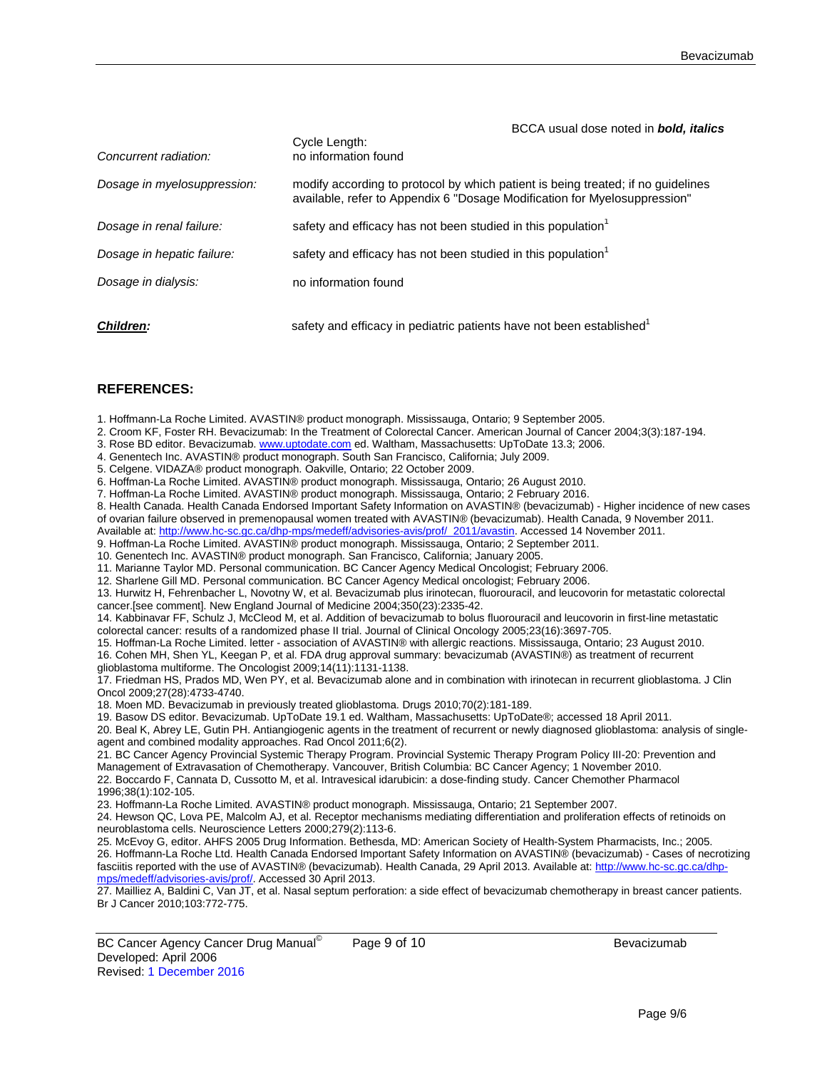| BCCA usual dose noted in <b>bold, italics</b> |  |  |  |  |
|-----------------------------------------------|--|--|--|--|
|-----------------------------------------------|--|--|--|--|

| Concurrent radiation:       | Cycle Length:<br>no information found                                                                                                                         |
|-----------------------------|---------------------------------------------------------------------------------------------------------------------------------------------------------------|
| Dosage in myelosuppression: | modify according to protocol by which patient is being treated; if no quidelines<br>available, refer to Appendix 6 "Dosage Modification for Myelosuppression" |
| Dosage in renal failure:    | safety and efficacy has not been studied in this population                                                                                                   |
| Dosage in hepatic failure:  | safety and efficacy has not been studied in this population                                                                                                   |
| Dosage in dialysis:         | no information found                                                                                                                                          |
| <b>Children:</b>            | safety and efficacy in pediatric patients have not been established                                                                                           |

#### **REFERENCES:**

1. Hoffmann-La Roche Limited. AVASTIN® product monograph. Mississauga, Ontario; 9 September 2005.

- 2. Croom KF, Foster RH. Bevacizumab: In the Treatment of Colorectal Cancer. American Journal of Cancer 2004;3(3):187-194.
- 3. Rose BD editor. Bevacizumab. [www.uptodate.com](http://www.uptodate.com/) ed. Waltham, Massachusetts: UpToDate 13.3; 2006.
- 4. Genentech Inc. AVASTIN® product monograph. South San Francisco, California; July 2009.

5. Celgene. VIDAZA® product monograph. Oakville, Ontario; 22 October 2009.

6. Hoffman-La Roche Limited. AVASTIN® product monograph. Mississauga, Ontario; 26 August 2010.

7. Hoffman-La Roche Limited. AVASTIN® product monograph. Mississauga, Ontario; 2 February 2016.

8. Health Canada. Health Canada Endorsed Important Safety Information on AVASTIN® (bevacizumab) - Higher incidence of new cases of ovarian failure observed in premenopausal women treated with AVASTIN® (bevacizumab). Health Canada, 9 November 2011.

Available at: [http://www.hc-sc.gc.ca/dhp-mps/medeff/advisories-avis/prof/\\_2011/avastin.](http://www.hc-sc.gc.ca/dhp-mps/medeff/advisories-avis/prof/_2011/avastin) Accessed 14 November 2011.

9. Hoffman-La Roche Limited. AVASTIN® product monograph. Mississauga, Ontario; 2 September 2011.

10. Genentech Inc. AVASTIN® product monograph. San Francisco, California; January 2005.

11. Marianne Taylor MD. Personal communication. BC Cancer Agency Medical Oncologist; February 2006.

12. Sharlene Gill MD. Personal communication. BC Cancer Agency Medical oncologist; February 2006.

13. Hurwitz H, Fehrenbacher L, Novotny W, et al. Bevacizumab plus irinotecan, fluorouracil, and leucovorin for metastatic colorectal cancer.[see comment]. New England Journal of Medicine 2004;350(23):2335-42.

14. Kabbinavar FF, Schulz J, McCleod M, et al. Addition of bevacizumab to bolus fluorouracil and leucovorin in first-line metastatic colorectal cancer: results of a randomized phase II trial. Journal of Clinical Oncology 2005;23(16):3697-705.

15. Hoffman-La Roche Limited. letter - association of AVASTIN® with allergic reactions. Mississauga, Ontario; 23 August 2010. 16. Cohen MH, Shen YL, Keegan P, et al. FDA drug approval summary: bevacizumab (AVASTIN®) as treatment of recurrent

glioblastoma multiforme. The Oncologist 2009;14(11):1131-1138.

17. Friedman HS, Prados MD, Wen PY, et al. Bevacizumab alone and in combination with irinotecan in recurrent glioblastoma. J Clin Oncol 2009;27(28):4733-4740.

18. Moen MD. Bevacizumab in previously treated glioblastoma. Drugs 2010;70(2):181-189.

19. Basow DS editor. Bevacizumab. UpToDate 19.1 ed. Waltham, Massachusetts: UpToDate®; accessed 18 April 2011.

20. Beal K, Abrey LE, Gutin PH. Antiangiogenic agents in the treatment of recurrent or newly diagnosed glioblastoma: analysis of singleagent and combined modality approaches. Rad Oncol 2011;6(2).

21. BC Cancer Agency Provincial Systemic Therapy Program. Provincial Systemic Therapy Program Policy III-20: Prevention and Management of Extravasation of Chemotherapy. Vancouver, British Columbia: BC Cancer Agency; 1 November 2010. 22. Boccardo F, Cannata D, Cussotto M, et al. Intravesical idarubicin: a dose-finding study. Cancer Chemother Pharmacol 1996;38(1):102-105.

23. Hoffmann-La Roche Limited. AVASTIN® product monograph. Mississauga, Ontario; 21 September 2007.

24. Hewson QC, Lova PE, Malcolm AJ, et al. Receptor mechanisms mediating differentiation and proliferation effects of retinoids on neuroblastoma cells. Neuroscience Letters 2000;279(2):113-6.

25. McEvoy G, editor. AHFS 2005 Drug Information. Bethesda, MD: American Society of Health-System Pharmacists, Inc.; 2005. 26. Hoffmann-La Roche Ltd. Health Canada Endorsed Important Safety Information on AVASTIN® (bevacizumab) - Cases of necrotizing fasciitis reported with the use of AVASTIN® (bevacizumab). Health Canada, 29 April 2013. Available at[: http://www.hc-sc.gc.ca/dhp](http://www.hc-sc.gc.ca/dhp-mps/medeff/advisories-avis/prof/)[mps/medeff/advisories-avis/prof/.](http://www.hc-sc.gc.ca/dhp-mps/medeff/advisories-avis/prof/) Accessed 30 April 2013.

27. Mailliez A, Baldini C, Van JT, et al. Nasal septum perforation: a side effect of bevacizumab chemotherapy in breast cancer patients. Br J Cancer 2010;103:772-775.